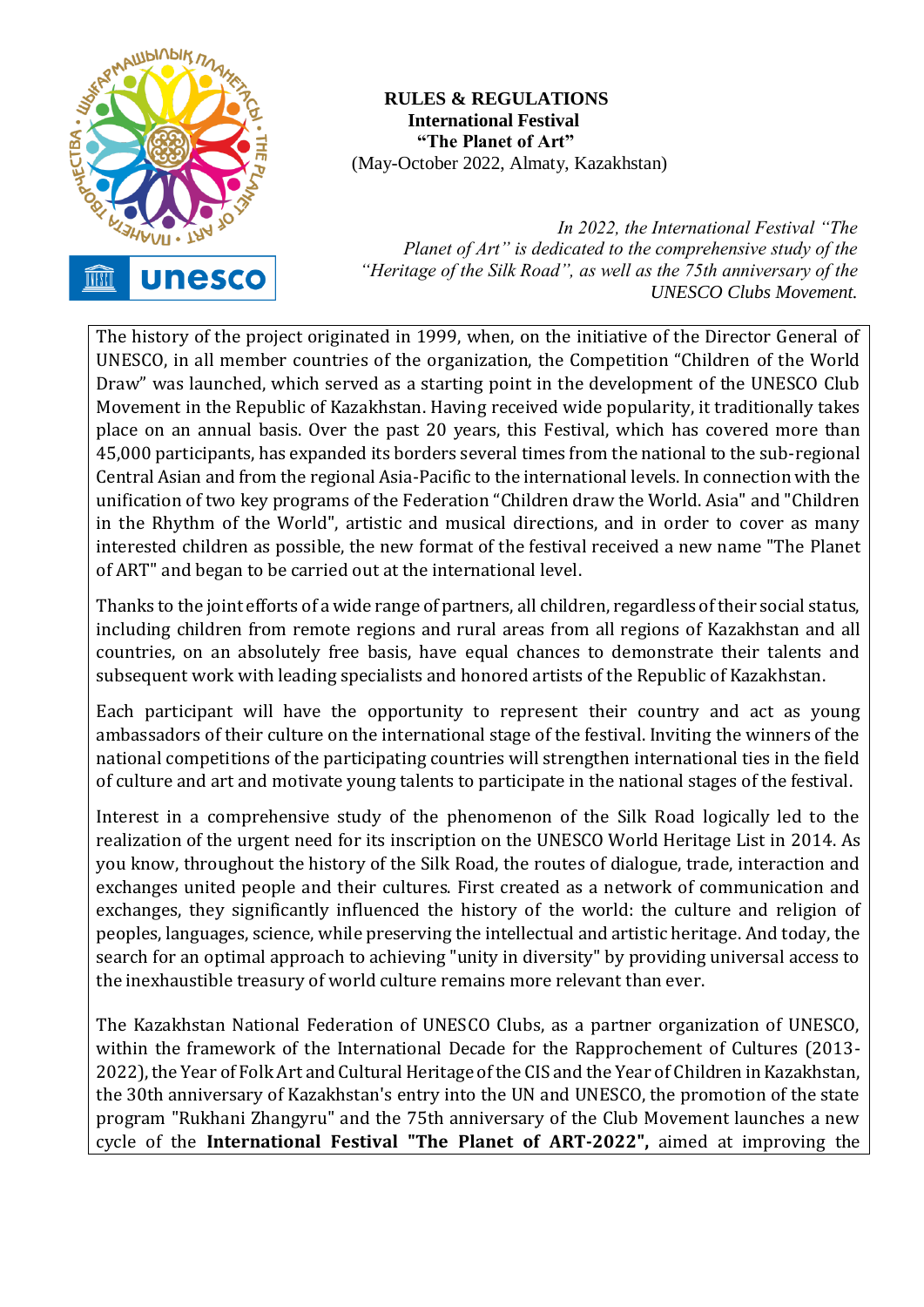

 **RULES & REGULATIONS International Festival "The Planet of Art"** (May-October 2022, Almaty, Kazakhstan)

*In 2022, the International Festival "The Planet of Art" is dedicated to the comprehensive study of the "Heritage of the Silk Road", as well as the 75th anniversary of the UNESCO Clubs Movement.*

The history of the project originated in 1999, when, on the initiative of the Director General of UNESCO, in all member countries of the organization, the Competition "Children of the World Draw" was launched, which served as a starting point in the development of the UNESCO Club Movement in the Republic of Kazakhstan. Having received wide popularity, it traditionally takes place on an annual basis. Over the past 20 years, this Festival, which has covered more than 45,000 participants, has expanded its borders several times from the national to the sub-regional Central Asian and from the regional Asia-Pacific to the international levels. In connection with the unification of two key programs of the Federation "Children draw the World. Asia" and "Children in the Rhythm of the World", artistic and musical directions, and in order to cover as many interested children as possible, the new format of the festival received a new name "The Planet of ART" and began to be carried out at the international level.

Thanks to the joint efforts of a wide range of partners, all children, regardless of their social status, including children from remote regions and rural areas from all regions of Kazakhstan and all countries, on an absolutely free basis, have equal chances to demonstrate their talents and subsequent work with leading specialists and honored artists of the Republic of Kazakhstan.

Each participant will have the opportunity to represent their country and act as young ambassadors of their culture on the international stage of the festival. Inviting the winners of the national competitions of the participating countries will strengthen international ties in the field of culture and art and motivate young talents to participate in the national stages of the festival.

Interest in a comprehensive study of the phenomenon of the Silk Road logically led to the realization of the urgent need for its inscription on the UNESCO World Heritage List in 2014. As you know, throughout the history of the Silk Road, the routes of dialogue, trade, interaction and exchanges united people and their cultures. First created as a network of communication and exchanges, they significantly influenced the history of the world: the culture and religion of peoples, languages, science, while preserving the intellectual and artistic heritage. And today, the search for an optimal approach to achieving "unity in diversity" by providing universal access to the inexhaustible treasury of world culture remains more relevant than ever.

The Kazakhstan National Federation of UNESCO Clubs, as a partner organization of UNESCO, within the framework of the International Decade for the Rapprochement of Cultures (2013- 2022), the Year of Folk Art and Cultural Heritage of the CIS and the Year of Children in Kazakhstan, the 30th anniversary of Kazakhstan's entry into the UN and UNESCO, the promotion of the state program "Rukhani Zhangyru" and the 75th anniversary of the Club Movement launches a new cycle of the **International Festival "The Planet of ART-2022",** aimed at improving the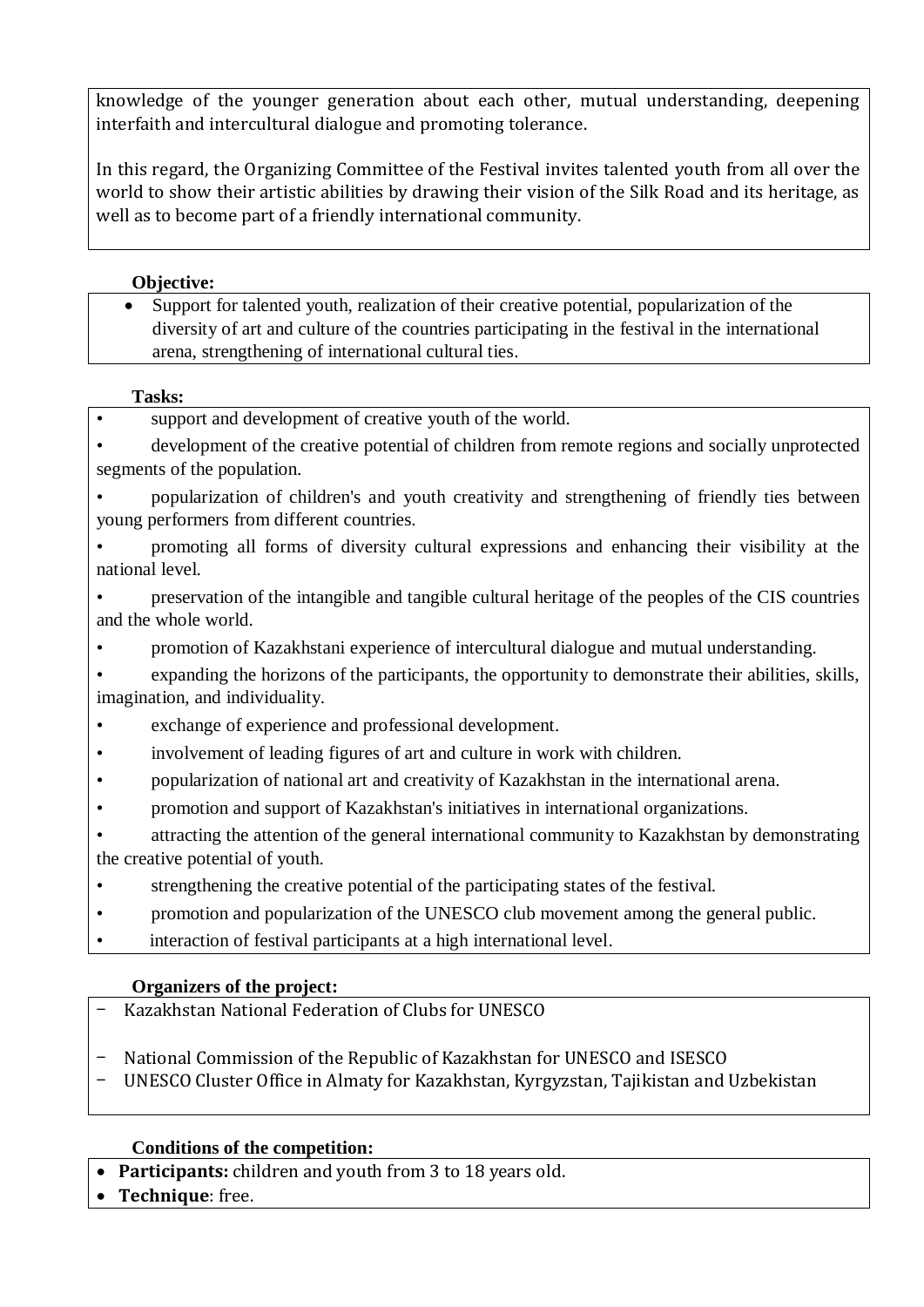knowledge of the younger generation about each other, mutual understanding, deepening interfaith and intercultural dialogue and promoting tolerance.

In this regard, the Organizing Committee of the Festival invites talented youth from all over the world to show their artistic abilities by drawing their vision of the Silk Road and its heritage, as well as to become part of a friendly international community.

#### **Objective:**

 Support for talented youth, realization of their creative potential, popularization of the diversity of art and culture of the countries participating in the festival in the international arena, strengthening of international cultural ties.

#### **Tasks:**

- support and development of creative youth of the world.
- development of the creative potential of children from remote regions and socially unprotected segments of the population.
- popularization of children's and youth creativity and strengthening of friendly ties between young performers from different countries.
- promoting all forms of diversity cultural expressions and enhancing their visibility at the national level.
- preservation of the intangible and tangible cultural heritage of the peoples of the CIS countries and the whole world.
- promotion of Kazakhstani experience of intercultural dialogue and mutual understanding.
- expanding the horizons of the participants, the opportunity to demonstrate their abilities, skills, imagination, and individuality.
- exchange of experience and professional development.
- involvement of leading figures of art and culture in work with children.
- popularization of national art and creativity of Kazakhstan in the international arena.
- promotion and support of Kazakhstan's initiatives in international organizations.
- attracting the attention of the general international community to Kazakhstan by demonstrating the creative potential of youth.
- strengthening the creative potential of the participating states of the festival.
- promotion and popularization of the UNESCO club movement among the general public.
- interaction of festival participants at a high international level.

### **Organizers of the project:**

- Kazakhstan National Federation of Clubs for UNESCO
- National Commission of the Republic of Kazakhstan for UNESCO and ISESCO
- UNESCO Cluster Office in Almaty for Kazakhstan, Kyrgyzstan, Tajikistan and Uzbekistan

### **Conditions of the competition:**

- **Participants:** children and youth from 3 to 18 years old.
- **Technique**: free.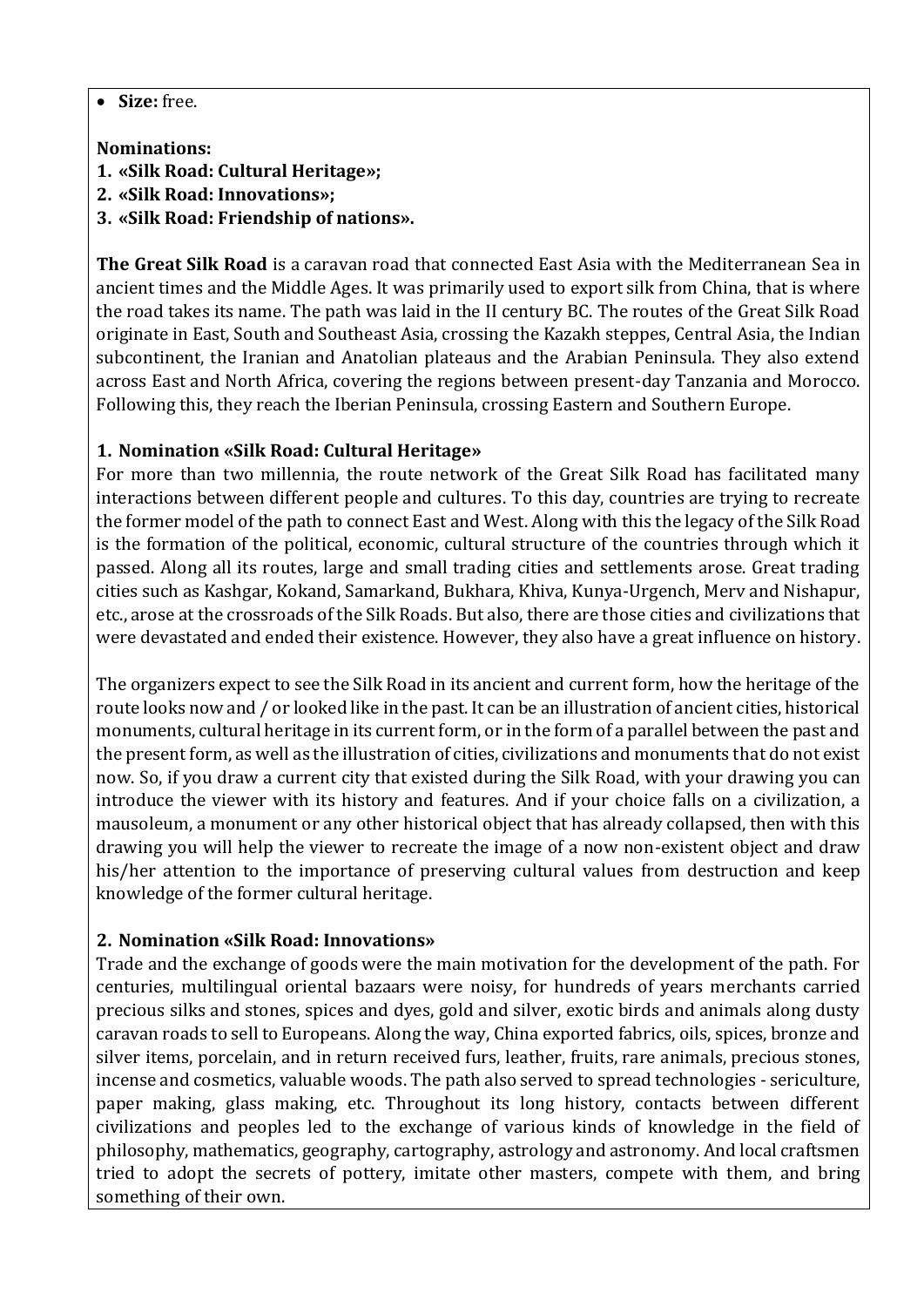**Size:** free.

#### **Nominations:**

**1. «Silk Road: Cultural Heritage»;**

- **2. «Silk Road: Innovations»;**
- **3. «Silk Road: Friendship of nations».**

**The Great Silk Road** is a caravan road that connected East Asia with the Mediterranean Sea in ancient times and the Middle Ages. It was primarily used to export silk from China, that is where the road takes its name. The path was laid in the II century BC. The routes of the Great Silk Road originate in East, South and Southeast Asia, crossing the Kazakh steppes, Central Asia, the Indian subcontinent, the Iranian and Anatolian plateaus and the Arabian Peninsula. They also extend across East and North Africa, covering the regions between present-day Tanzania and Morocco. Following this, they reach the Iberian Peninsula, crossing Eastern and Southern Europe.

### **1. Nomination «Silk Road: Cultural Heritage»**

For more than two millennia, the route network of the Great Silk Road has facilitated many interactions between different people and cultures. To this day, countries are trying to recreate the former model of the path to connect East and West. Along with this the legacy of the Silk Road is the formation of the political, economic, cultural structure of the countries through which it passed. Along all its routes, large and small trading cities and settlements arose. Great trading cities such as Kashgar, Kokand, Samarkand, Bukhara, Khiva, Kunya-Urgench, Merv and Nishapur, etc., arose at the crossroads of the Silk Roads. But also, there are those cities and civilizations that were devastated and ended their existence. However, they also have a great influence on history.

The organizers expect to see the Silk Road in its ancient and current form, how the heritage of the route looks now and / or looked like in the past. It can be an illustration of ancient cities, historical monuments, cultural heritage in its current form, or in the form of a parallel between the past and the present form, as well as the illustration of cities, civilizations and monuments that do not exist now. So, if you draw a current city that existed during the Silk Road, with your drawing you can introduce the viewer with its history and features. And if your choice falls on a civilization, a mausoleum, a monument or any other historical object that has already collapsed, then with this drawing you will help the viewer to recreate the image of a now non-existent object and draw his/her attention to the importance of preserving cultural values from destruction and keep knowledge of the former cultural heritage.

### **2. Nomination «Silk Road: Innovations»**

Trade and the exchange of goods were the main motivation for the development of the path. For centuries, multilingual oriental bazaars were noisy, for hundreds of years merchants carried precious silks and stones, spices and dyes, gold and silver, exotic birds and animals along dusty caravan roads to sell to Europeans. Along the way, China exported fabrics, oils, spices, bronze and silver items, porcelain, and in return received furs, leather, fruits, rare animals, precious stones, incense and cosmetics, valuable woods. The path also served to spread technologies - sericulture, paper making, glass making, etc. Throughout its long history, contacts between different civilizations and peoples led to the exchange of various kinds of knowledge in the field of philosophy, mathematics, geography, cartography, astrology and astronomy. And local craftsmen tried to adopt the secrets of pottery, imitate other masters, compete with them, and bring something of their own.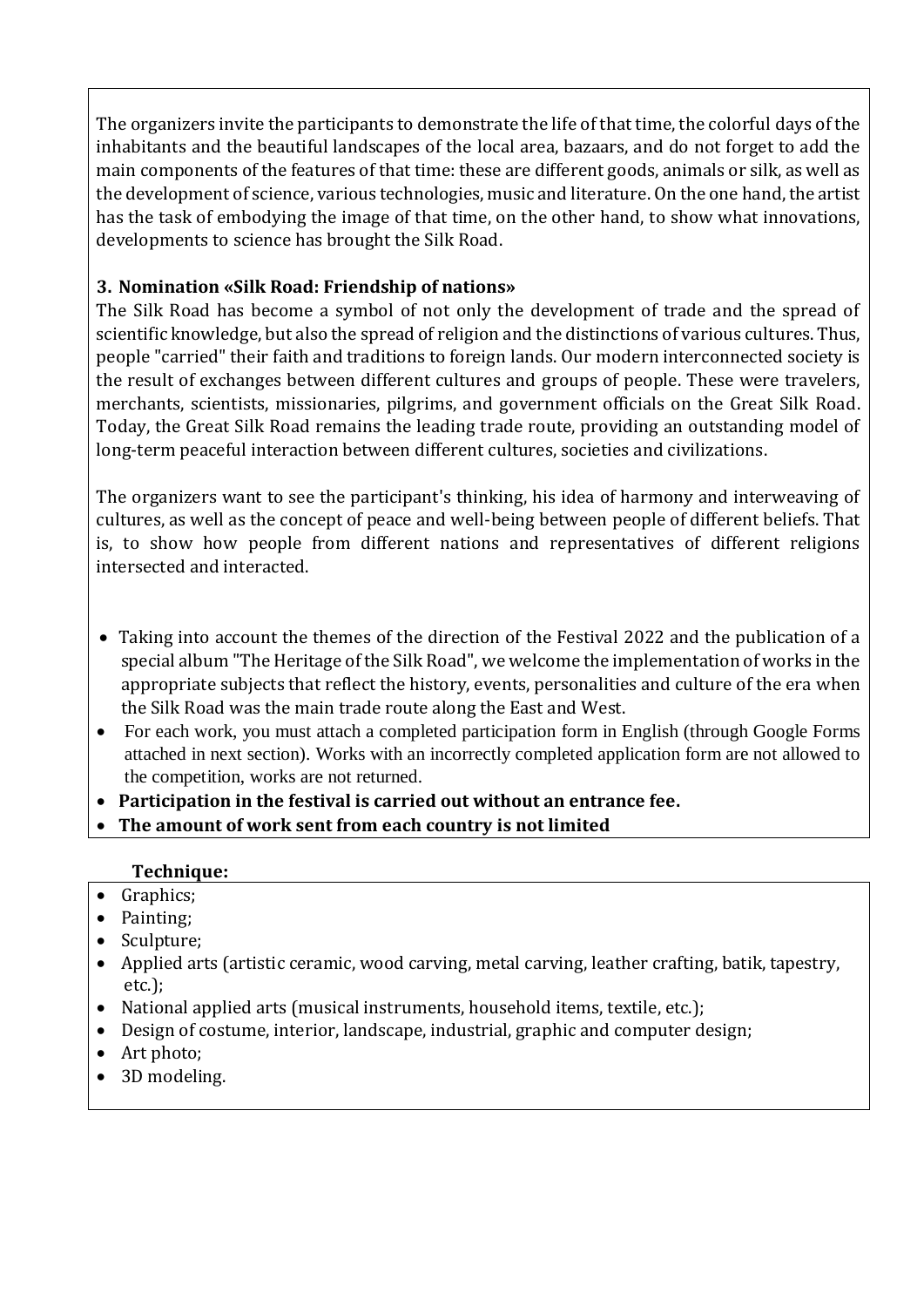The organizers invite the participants to demonstrate the life of that time, the colorful days of the inhabitants and the beautiful landscapes of the local area, bazaars, and do not forget to add the main components of the features of that time: these are different goods, animals or silk, as well as the development of science, various technologies, music and literature. On the one hand, the artist has the task of embodying the image of that time, on the other hand, to show what innovations, developments to science has brought the Silk Road.

## **3. Nomination «Silk Road: Friendship of nations»**

The Silk Road has become a symbol of not only the development of trade and the spread of scientific knowledge, but also the spread of religion and the distinctions of various cultures. Thus, people "carried" their faith and traditions to foreign lands. Our modern interconnected society is the result of exchanges between different cultures and groups of people. These were travelers, merchants, scientists, missionaries, pilgrims, and government officials on the Great Silk Road. Today, the Great Silk Road remains the leading trade route, providing an outstanding model of long-term peaceful interaction between different cultures, societies and civilizations.

The organizers want to see the participant's thinking, his idea of harmony and interweaving of cultures, as well as the concept of peace and well-being between people of different beliefs. That is, to show how people from different nations and representatives of different religions intersected and interacted.

- Taking into account the themes of the direction of the Festival 2022 and the publication of a special album "The Heritage of the Silk Road", we welcome the implementation of works in the appropriate subjects that reflect the history, events, personalities and culture of the era when the Silk Road was the main trade route along the East and West.
- For each work, you must attach a completed participation form in English (through Google Forms attached in next section). Works with an incorrectly completed application form are not allowed to the competition, works are not returned.
- **Participation in the festival is carried out without an entrance fee.**
- **The amount of work sent from each country is not limited**

### **Technique:**

- Graphics;
- Painting;
- Sculpture;
- Applied arts (artistic ceramic, wood carving, metal carving, leather crafting, batik, tapestry, etc.);
- National applied arts (musical instruments, household items, textile, etc.);
- Design of costume, interior, landscape, industrial, graphic and computer design;
- Art photo;
- 3D modeling.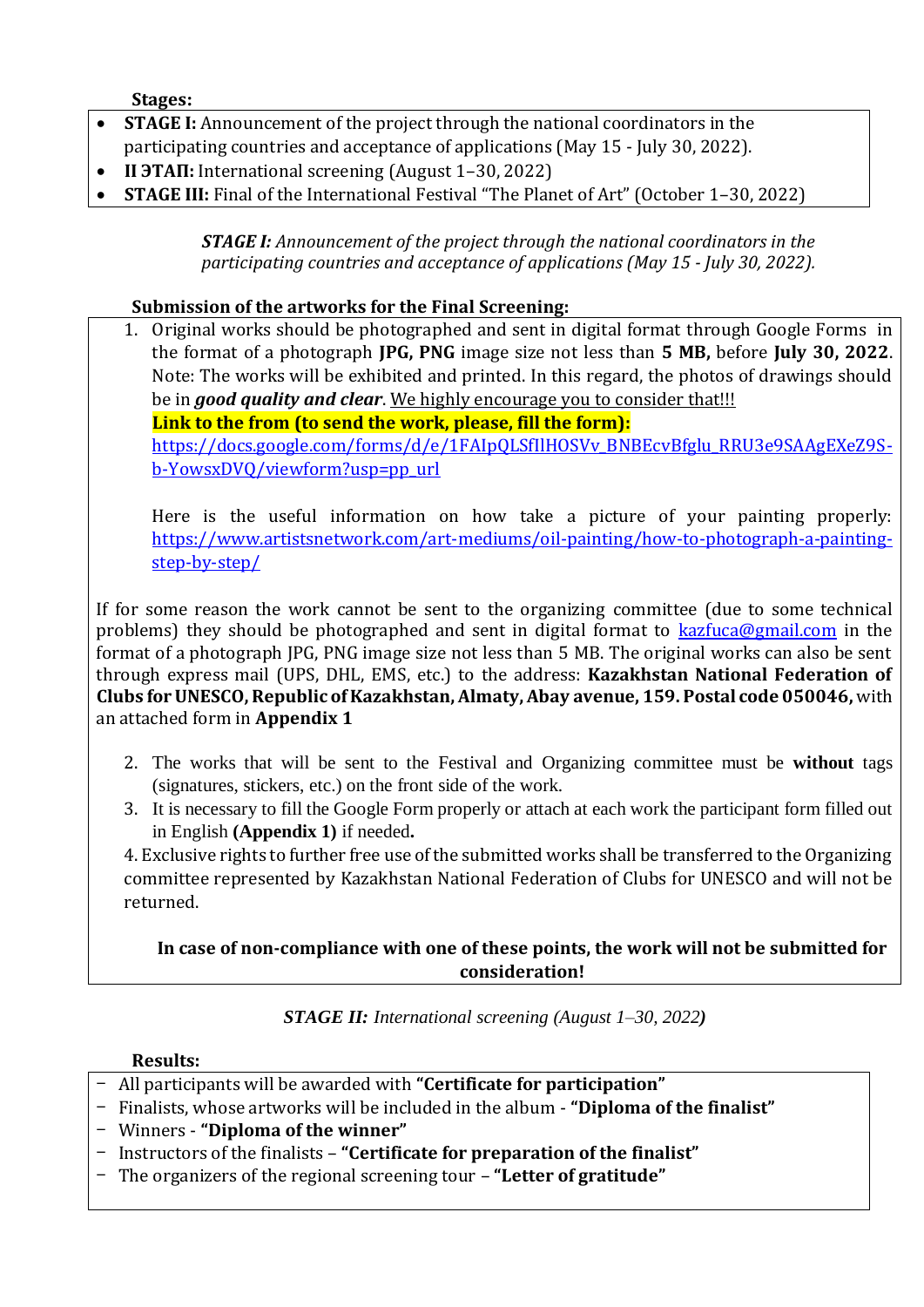**Stages:** 

- **STAGE I:** Announcement of the project through the national coordinators in the participating countries and acceptance of applications (May 15 - July 30, 2022).
- **II <b>HAL**: International screening (August 1-30, 2022)
- **STAGE III:** Final of the International Festival "The Planet of Art" (October 1–30, 2022)

*STAGE I: Announcement of the project through the national coordinators in the participating countries and acceptance of applications (May 15 - July 30, 2022).*

## **Submission of the artworks for the Final Screening:**

1. Original works should be photographed and sent in digital format through Google Forms in the format of a photograph **JPG, PNG** image size not less than **5 MB,** before **July 30, 2022**. Note: The works will be exhibited and printed. In this regard, the photos of drawings should be in *good quality and clear*. We highly encourage you to consider that!!!

**Link to the from (to send the work, please, fill the form):** [https://docs.google.com/forms/d/e/1FAIpQLSfIlHOSVv\\_BNBEcvBfglu\\_RRU3e9SAAgEXeZ9S](https://docs.google.com/forms/d/e/1FAIpQLSfIlHOSVv_BNBEcvBfglu_RRU3e9SAAgEXeZ9S-b-YowsxDVQ/viewform?usp=pp_url)[b-YowsxDVQ/viewform?usp=pp\\_url](https://docs.google.com/forms/d/e/1FAIpQLSfIlHOSVv_BNBEcvBfglu_RRU3e9SAAgEXeZ9S-b-YowsxDVQ/viewform?usp=pp_url)

Here is the useful information on how take a picture of your painting properly: [https://www.artistsnetwork.com/art-mediums/oil-painting/how-to-photograph-a-painting](https://www.artistsnetwork.com/art-mediums/oil-painting/how-to-photograph-a-painting-step-by-step/)[step-by-step/](https://www.artistsnetwork.com/art-mediums/oil-painting/how-to-photograph-a-painting-step-by-step/)

If for some reason the work cannot be sent to the organizing committee (due to some technical problems) they should be photographed and sent in digital format to [kazfuca@gmail.com](mailto:kazfuca@gmail.com) in the format of a photograph JPG, PNG image size not less than 5 MB. The original works can also be sent through express mail (UPS, DHL, EMS, etc.) to the address: **Kazakhstan National Federation of Clubs for UNESCO, Republic of Kazakhstan, Almaty, Abay avenue, 159. Postal code 050046,** with an attached form in **Appendix 1**

- 2. The works that will be sent to the Festival and Organizing committee must be **without** tags (signatures, stickers, etc.) on the front side of the work.
- 3. It is necessary to fill the Google Form properly or attach at each work the participant form filled out in English **(Appendix 1)** if needed**.**

4. Exclusive rights to further free use of the submitted works shall be transferred to the Organizing committee represented by Kazakhstan National Federation of Clubs for UNESCO and will not be returned.

# **In case of non-compliance with one of these points, the work will not be submitted for consideration!**

*STAGE II: International screening (August 1–30, 2022)*

### **Results:**

- All participants will be awarded with **"Certificate for participation"**
- Finalists, whose artworks will be included in the album **"Diploma of the finalist"**
- Winners **"Diploma of the winner"**
- Instructors of the finalists **"Certificate for preparation of the finalist"**
- The organizers of the regional screening tour **"Letter of gratitude"**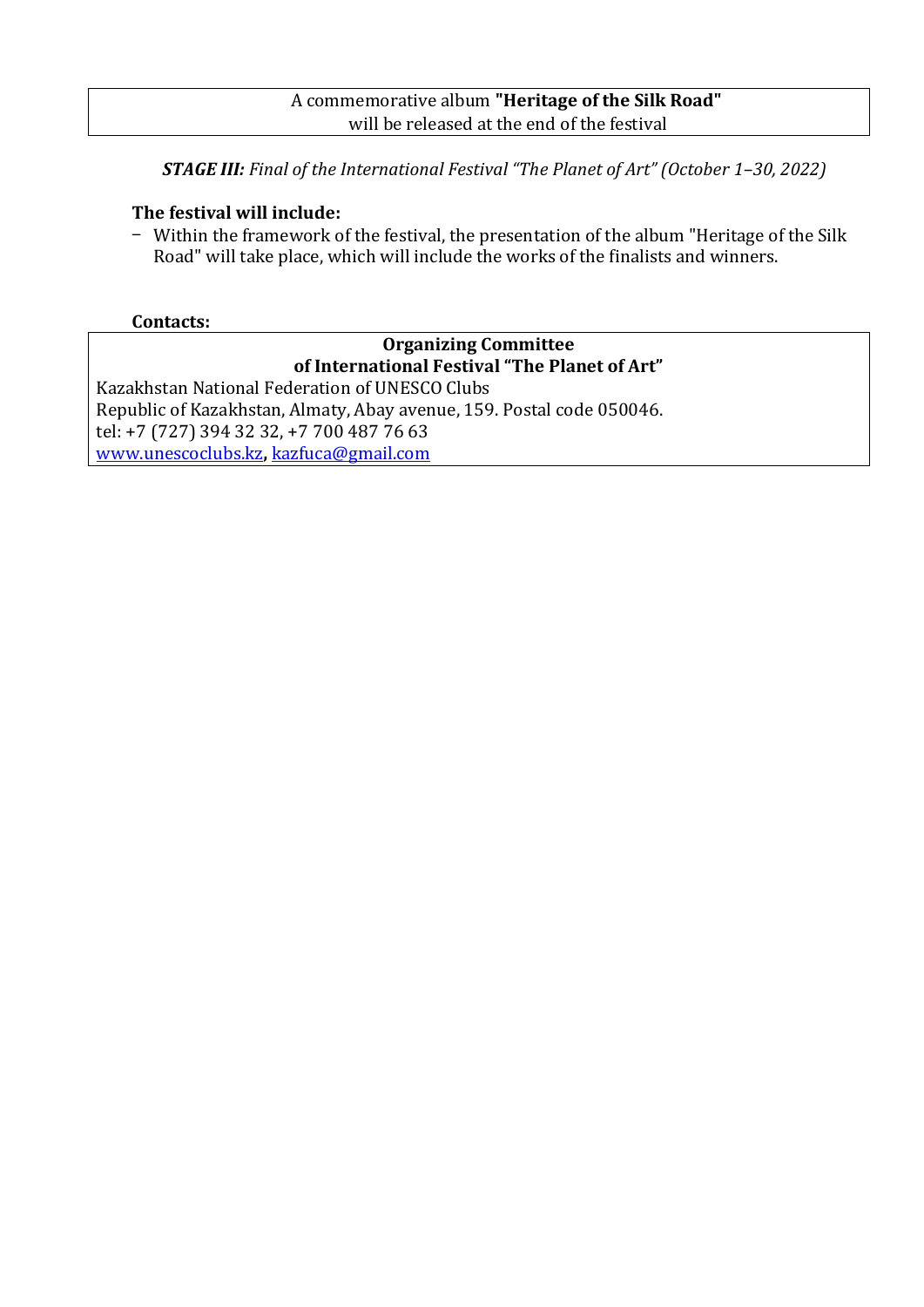#### A commemorative album **"Heritage of the Silk Road"** will be released at the end of the festival

*STAGE III: Final of the International Festival "The Planet of Art" (October 1–30, 2022)*

### **The festival will include:**

- Within the framework of the festival, the presentation of the album "Heritage of the Silk Road" will take place, which will include the works of the finalists and winners.

### **Contacts:**

# **Organizing Committee of International Festival "The Planet of Art"**

Kazakhstan National Federation of UNESCO Clubs Republic of Kazakhstan, Almaty, Abay avenue, 159. Postal code 050046. tel: +7 (727) 394 32 32, +7 700 487 76 63 [www.unescoclubs.kz](http://www.unescoclubs.kz/)**,** [kazfuca@gmail.com](mailto:kazfuca@gmail.com)